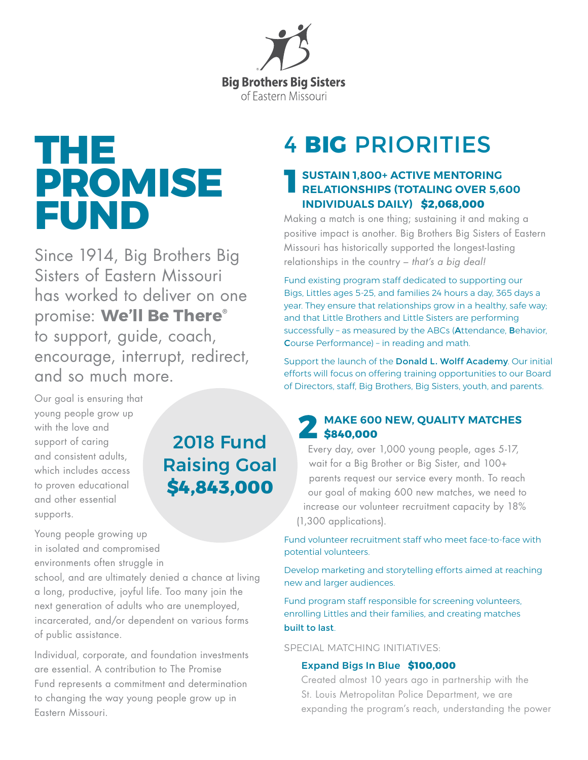

# **THE PROMISE FUND**

Since 1914, Big Brothers Big Sisters of Eastern Missouri has worked to deliver on one promise: **We'll Be There®** to support, guide, coach, encourage, interrupt, redirect, and so much more.

2018 Fund

Raising Goal

**\$4,843,000**

## Our goal is ensuring that young people grow up with the love and support of caring and consistent adults, which includes access to proven educational and other essential supports.

#### Young people growing up in isolated and compromised environments often struggle in

school, and are ultimately denied a chance at living a long, productive, joyful life. Too many join the next generation of adults who are unemployed, incarcerated, and/or dependent on various forms of public assistance.

Individual, corporate, and foundation investments are essential. A contribution to The Promise Fund represents a commitment and determination to changing the way young people grow up in Eastern Missouri.

# 4 **BIG** PRIORITIES

## **SUSTAIN 1,800+ ACTIVE MENTORING RELATIONSHIPS (TOTALING OVER 5,600 INDIVIDUALS DAILY) \$2,068,000**

Making a match is one thing; sustaining it and making a positive impact is another. Big Brothers Big Sisters of Eastern Missouri has historically supported the longest-lasting relationships in the country – *that's a big deal!*

Fund existing program staff dedicated to supporting our Bigs, Littles ages 5-25, and families 24 hours a day, 365 days a year. They ensure that relationships grow in a healthy, safe way; and that Little Brothers and Little Sisters are performing successfully – as measured by the ABCs (Attendance, Behavior, Course Performance) – in reading and math.

Support the launch of the **Donald L. Wolff Academy**. Our initial efforts will focus on offering training opportunities to our Board of Directors, staff, Big Brothers, Big Sisters, youth, and parents.

# **MAKE 600 NEW, QUALITY MATCHES**   $\overline{\phantom{0}}\hspace{0.1cm}5840,000$

Every day, over 1,000 young people, ages 5-17, wait for a Big Brother or Big Sister, and 100+ parents request our service every month. To reach our goal of making 600 new matches, we need to increase our volunteer recruitment capacity by 18% (1,300 applications).

Fund volunteer recruitment staff who meet face-to-face with potential volunteers.

Develop marketing and storytelling efforts aimed at reaching new and larger audiences.

Fund program staff responsible for screening volunteers, enrolling Littles and their families, and creating matches built to last.

SPECIAL MATCHING INITIATIVES:

#### Expand Bigs In Blue **\$100,000**

Created almost 10 years ago in partnership with the St. Louis Metropolitan Police Department, we are expanding the program's reach, understanding the power